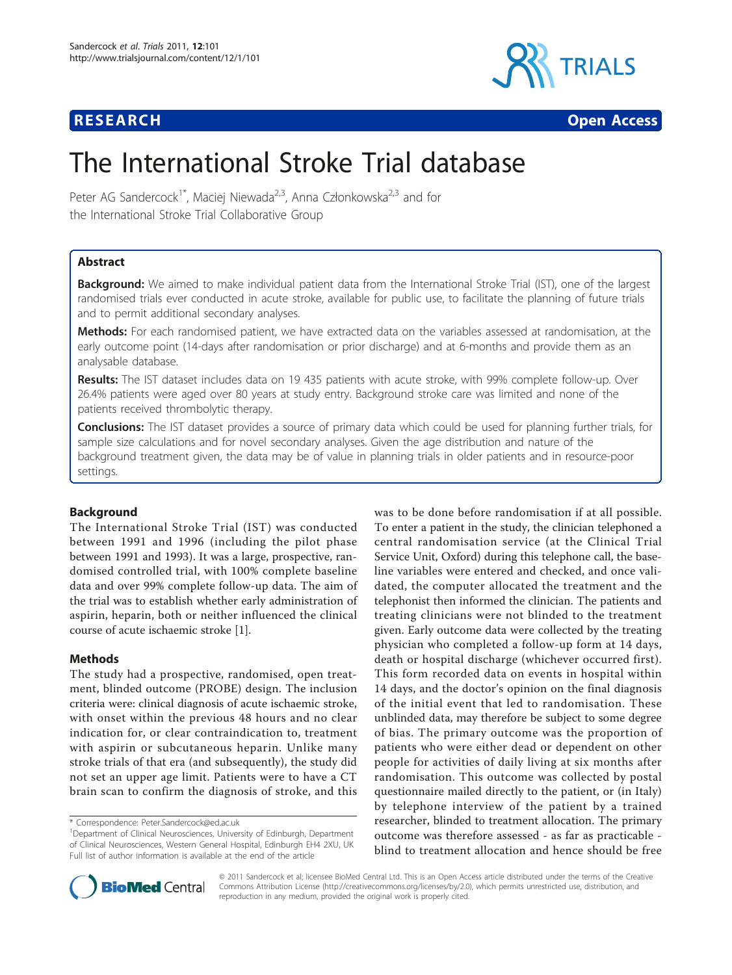

**RESEARCH CONSTRUCTION CONSTRUCTS** 

# The International Stroke Trial database

Peter AG Sandercock<sup>1\*</sup>, Maciej Niewada<sup>2,3</sup>, Anna Członkowska<sup>2,3</sup> and for the International Stroke Trial Collaborative Group

# Abstract

Background: We aimed to make individual patient data from the International Stroke Trial (IST), one of the largest randomised trials ever conducted in acute stroke, available for public use, to facilitate the planning of future trials and to permit additional secondary analyses.

Methods: For each randomised patient, we have extracted data on the variables assessed at randomisation, at the early outcome point (14-days after randomisation or prior discharge) and at 6-months and provide them as an analysable database.

Results: The IST dataset includes data on 19 435 patients with acute stroke, with 99% complete follow-up. Over 26.4% patients were aged over 80 years at study entry. Background stroke care was limited and none of the patients received thrombolytic therapy.

Conclusions: The IST dataset provides a source of primary data which could be used for planning further trials, for sample size calculations and for novel secondary analyses. Given the age distribution and nature of the background treatment given, the data may be of value in planning trials in older patients and in resource-poor settings.

# Background

The International Stroke Trial (IST) was conducted between 1991 and 1996 (including the pilot phase between 1991 and 1993). It was a large, prospective, randomised controlled trial, with 100% complete baseline data and over 99% complete follow-up data. The aim of the trial was to establish whether early administration of aspirin, heparin, both or neither influenced the clinical course of acute ischaemic stroke [\[1](#page-6-0)].

# Methods

The study had a prospective, randomised, open treatment, blinded outcome (PROBE) design. The inclusion criteria were: clinical diagnosis of acute ischaemic stroke, with onset within the previous 48 hours and no clear indication for, or clear contraindication to, treatment with aspirin or subcutaneous heparin. Unlike many stroke trials of that era (and subsequently), the study did not set an upper age limit. Patients were to have a CT brain scan to confirm the diagnosis of stroke, and this

was to be done before randomisation if at all possible. To enter a patient in the study, the clinician telephoned a central randomisation service (at the Clinical Trial Service Unit, Oxford) during this telephone call, the baseline variables were entered and checked, and once validated, the computer allocated the treatment and the telephonist then informed the clinician. The patients and treating clinicians were not blinded to the treatment given. Early outcome data were collected by the treating physician who completed a follow-up form at 14 days, death or hospital discharge (whichever occurred first). This form recorded data on events in hospital within 14 days, and the doctor's opinion on the final diagnosis of the initial event that led to randomisation. These unblinded data, may therefore be subject to some degree of bias. The primary outcome was the proportion of patients who were either dead or dependent on other people for activities of daily living at six months after randomisation. This outcome was collected by postal questionnaire mailed directly to the patient, or (in Italy) by telephone interview of the patient by a trained researcher, blinded to treatment allocation. The primary outcome was therefore assessed - as far as practicable blind to treatment allocation and hence should be free



© 2011 Sandercock et al; licensee BioMed Central Ltd. This is an Open Access article distributed under the terms of the Creative Commons Attribution License [\(http://creativecommons.org/licenses/by/2.0](http://creativecommons.org/licenses/by/2.0)), which permits unrestricted use, distribution, and reproduction in any medium, provided the original work is properly cited.

<sup>\*</sup> Correspondence: [Peter.Sandercock@ed.ac.uk](mailto:Peter.Sandercock@ed.ac.uk)

<sup>&</sup>lt;sup>1</sup>Department of Clinical Neurosciences, University of Edinburgh, Department of Clinical Neurosciences, Western General Hospital, Edinburgh EH4 2XU, UK Full list of author information is available at the end of the article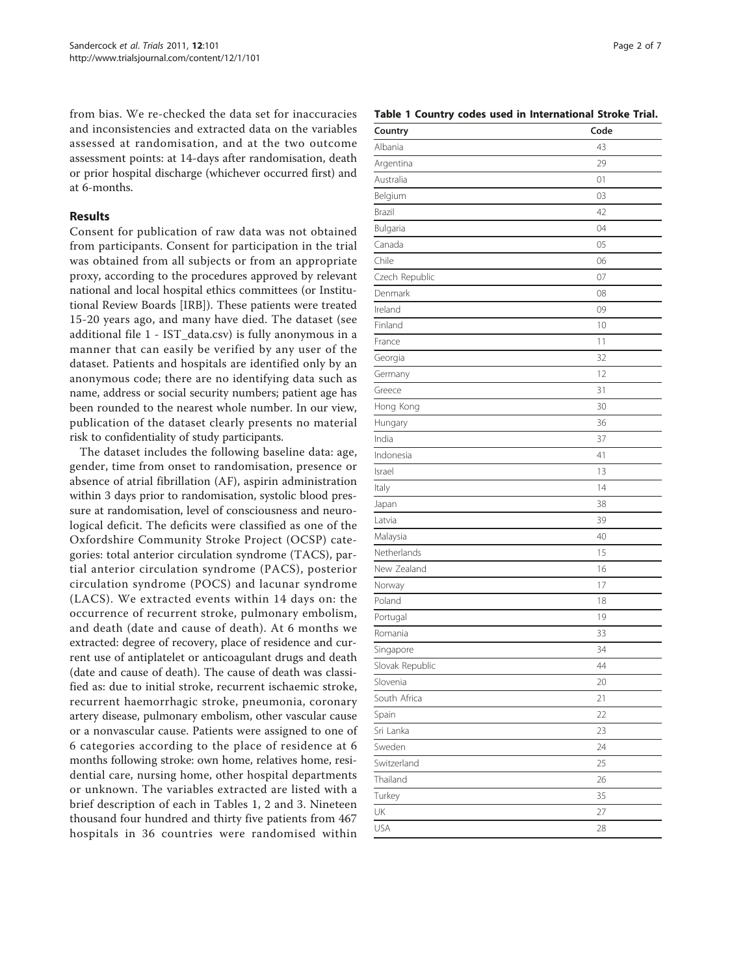from bias. We re-checked the data set for inaccuracies and inconsistencies and extracted data on the variables assessed at randomisation, and at the two outcome assessment points: at 14-days after randomisation, death or prior hospital discharge (whichever occurred first) and at 6-months.

# Results

Consent for publication of raw data was not obtained from participants. Consent for participation in the trial was obtained from all subjects or from an appropriate proxy, according to the procedures approved by relevant national and local hospital ethics committees (or Institutional Review Boards [IRB]). These patients were treated 15-20 years ago, and many have died. The dataset (see additional file [1](#page-6-0) - IST\_data.csv) is fully anonymous in a manner that can easily be verified by any user of the dataset. Patients and hospitals are identified only by an anonymous code; there are no identifying data such as name, address or social security numbers; patient age has been rounded to the nearest whole number. In our view, publication of the dataset clearly presents no material risk to confidentiality of study participants.

The dataset includes the following baseline data: age, gender, time from onset to randomisation, presence or absence of atrial fibrillation (AF), aspirin administration within 3 days prior to randomisation, systolic blood pressure at randomisation, level of consciousness and neurological deficit. The deficits were classified as one of the Oxfordshire Community Stroke Project (OCSP) categories: total anterior circulation syndrome (TACS), partial anterior circulation syndrome (PACS), posterior circulation syndrome (POCS) and lacunar syndrome (LACS). We extracted events within 14 days on: the occurrence of recurrent stroke, pulmonary embolism, and death (date and cause of death). At 6 months we extracted: degree of recovery, place of residence and current use of antiplatelet or anticoagulant drugs and death (date and cause of death). The cause of death was classified as: due to initial stroke, recurrent ischaemic stroke, recurrent haemorrhagic stroke, pneumonia, coronary artery disease, pulmonary embolism, other vascular cause or a nonvascular cause. Patients were assigned to one of 6 categories according to the place of residence at 6 months following stroke: own home, relatives home, residential care, nursing home, other hospital departments or unknown. The variables extracted are listed with a brief description of each in Tables 1, [2](#page-2-0) and [3.](#page-5-0) Nineteen thousand four hundred and thirty five patients from 467 hospitals in 36 countries were randomised within

Table 1 Country codes used in International Stroke Trial.

| Country         | Code |
|-----------------|------|
| Albania         | 43   |
| Argentina       | 29   |
| Australia       | 01   |
| Belgium         | 03   |
| Brazil          | 42   |
| Bulgaria        | 04   |
| Canada          | 05   |
| Chile           | 06   |
| Czech Republic  | 07   |
| Denmark         | 08   |
| Ireland         | 09   |
| Finland         | 10   |
| France          | 11   |
| Georgia         | 32   |
| Germany         | 12   |
| Greece          | 31   |
| Hong Kong       | 30   |
| Hungary         | 36   |
| India           | 37   |
| Indonesia       | 41   |
| Israel          | 13   |
| Italy           | 14   |
| Japan           | 38   |
| Latvia          | 39   |
| Malaysia        | 40   |
| Netherlands     | 15   |
| New Zealand     | 16   |
| Norway          | 17   |
| Poland          | 18   |
| Portugal        | 19   |
| Romania         | 33   |
| Singapore       | 34   |
| Slovak Republic | 44   |
| Slovenia        | 20   |
| South Africa    | 21   |
| Spain           | 22   |
| Sri Lanka       | 23   |
| Sweden          | 24   |
| Switzerland     | 25   |
| Thailand        | 26   |
| Turkey          | 35   |
| UK              | 27   |
| USA             | 28   |
|                 |      |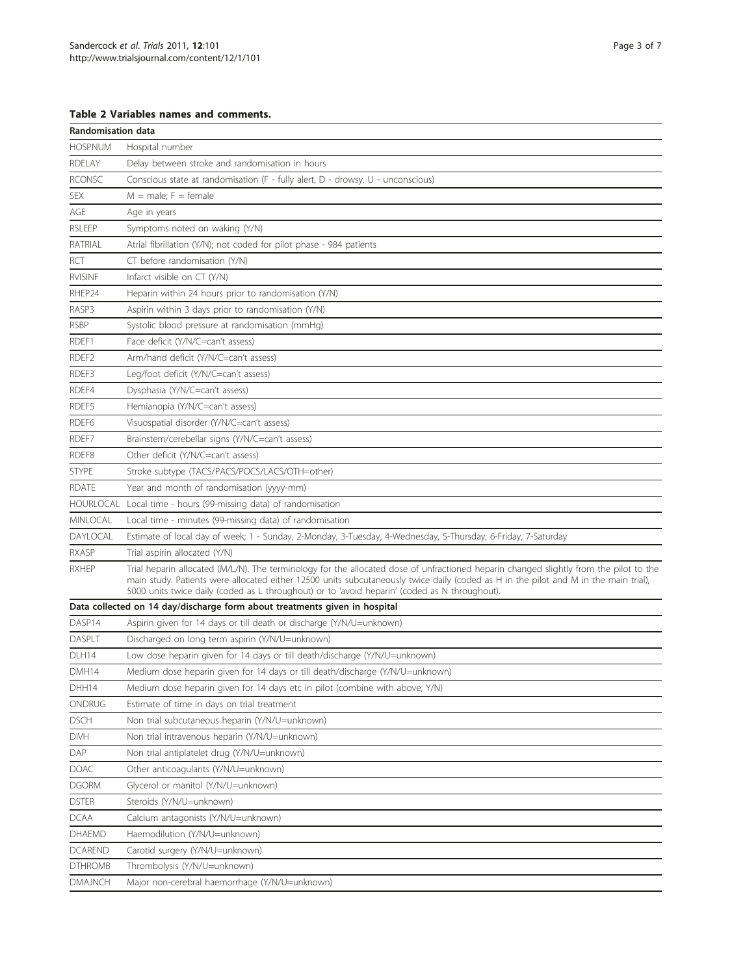# <span id="page-2-0"></span>Table 2 Variables names and comments.

| Randomisation data |                                                                                                                                                                                                                                                                                                                                                                                 |  |  |
|--------------------|---------------------------------------------------------------------------------------------------------------------------------------------------------------------------------------------------------------------------------------------------------------------------------------------------------------------------------------------------------------------------------|--|--|
| <b>HOSPNUM</b>     | Hospital number                                                                                                                                                                                                                                                                                                                                                                 |  |  |
| <b>RDELAY</b>      | Delay between stroke and randomisation in hours                                                                                                                                                                                                                                                                                                                                 |  |  |
| <b>RCONSC</b>      | Conscious state at randomisation (F - fully alert, D - drowsy, U - unconscious)                                                                                                                                                                                                                                                                                                 |  |  |
| SEX                | $M = male; F = female$                                                                                                                                                                                                                                                                                                                                                          |  |  |
| AGE                | Age in years                                                                                                                                                                                                                                                                                                                                                                    |  |  |
| <b>RSLEEP</b>      | Symptoms noted on waking (Y/N)                                                                                                                                                                                                                                                                                                                                                  |  |  |
| RATRIAL            | Atrial fibrillation (Y/N); not coded for pilot phase - 984 patients                                                                                                                                                                                                                                                                                                             |  |  |
| RCT                | CT before randomisation (Y/N)                                                                                                                                                                                                                                                                                                                                                   |  |  |
| <b>RVISINF</b>     | Infarct visible on CT (Y/N)                                                                                                                                                                                                                                                                                                                                                     |  |  |
| RHEP24             | Heparin within 24 hours prior to randomisation (Y/N)                                                                                                                                                                                                                                                                                                                            |  |  |
| RASP3              | Aspirin within 3 days prior to randomisation (Y/N)                                                                                                                                                                                                                                                                                                                              |  |  |
| <b>RSBP</b>        | Systolic blood pressure at randomisation (mmHq)                                                                                                                                                                                                                                                                                                                                 |  |  |
| RDEF1              | Face deficit (Y/N/C=can't assess)                                                                                                                                                                                                                                                                                                                                               |  |  |
| RDEF <sub>2</sub>  | Arm/hand deficit (Y/N/C=can't assess)                                                                                                                                                                                                                                                                                                                                           |  |  |
| RDEF3              | Leg/foot deficit (Y/N/C=can't assess)                                                                                                                                                                                                                                                                                                                                           |  |  |
| RDEF4              | Dysphasia (Y/N/C=can't assess)                                                                                                                                                                                                                                                                                                                                                  |  |  |
| RDEF5              | Hemianopia (Y/N/C=can't assess)                                                                                                                                                                                                                                                                                                                                                 |  |  |
| RDEF <sub>6</sub>  | Visuospatial disorder (Y/N/C=can't assess)                                                                                                                                                                                                                                                                                                                                      |  |  |
| RDEF7              | Brainstem/cerebellar signs (Y/N/C=can't assess)                                                                                                                                                                                                                                                                                                                                 |  |  |
| RDEF <sub>8</sub>  | Other deficit (Y/N/C=can't assess)                                                                                                                                                                                                                                                                                                                                              |  |  |
| <b>STYPE</b>       | Stroke subtype (TACS/PACS/POCS/LACS/OTH=other)                                                                                                                                                                                                                                                                                                                                  |  |  |
| <b>RDATE</b>       | Year and month of randomisation (yyyy-mm)                                                                                                                                                                                                                                                                                                                                       |  |  |
|                    | HOURLOCAL Local time - hours (99-missing data) of randomisation                                                                                                                                                                                                                                                                                                                 |  |  |
| MINLOCAL           | Local time - minutes (99-missing data) of randomisation                                                                                                                                                                                                                                                                                                                         |  |  |
| DAYLOCAL           | Estimate of local day of week; 1 - Sunday, 2-Monday, 3-Tuesday, 4-Wednesday, 5-Thursday, 6-Friday, 7-Saturday                                                                                                                                                                                                                                                                   |  |  |
| <b>RXASP</b>       | Trial aspirin allocated (Y/N)                                                                                                                                                                                                                                                                                                                                                   |  |  |
| <b>RXHEP</b>       | Trial heparin allocated (M/L/N). The terminology for the allocated dose of unfractioned heparin changed slightly from the pilot to the<br>main study. Patients were allocated either 12500 units subcutaneously twice daily (coded as H in the pilot and M in the main trial),<br>5000 units twice daily (coded as L throughout) or to 'avoid heparin' (coded as N throughout). |  |  |
|                    | Data collected on 14 day/discharge form about treatments given in hospital                                                                                                                                                                                                                                                                                                      |  |  |
| DASP14             | Aspirin given for 14 days or till death or discharge (Y/N/U=unknown)                                                                                                                                                                                                                                                                                                            |  |  |
| <b>DASPLT</b>      | Discharged on long term aspirin (Y/N/U=unknown)                                                                                                                                                                                                                                                                                                                                 |  |  |
| DLH14              | Low dose heparin given for 14 days or till death/discharge (Y/N/U=unknown)                                                                                                                                                                                                                                                                                                      |  |  |
| DMH14              | Medium dose heparin given for 14 days or till death/discharge (Y/N/U=unknown)                                                                                                                                                                                                                                                                                                   |  |  |
| DHH14              | Medium dose heparin given for 14 days etc in pilot (combine with above; Y/N)                                                                                                                                                                                                                                                                                                    |  |  |
| ONDRUG             | Estimate of time in days on trial treatment                                                                                                                                                                                                                                                                                                                                     |  |  |
| <b>DSCH</b>        | Non trial subcutaneous heparin (Y/N/U=unknown)                                                                                                                                                                                                                                                                                                                                  |  |  |
| <b>DIVH</b>        | Non trial intravenous heparin (Y/N/U=unknown)                                                                                                                                                                                                                                                                                                                                   |  |  |
| DAP                | Non trial antiplatelet drug (Y/N/U=unknown)                                                                                                                                                                                                                                                                                                                                     |  |  |
| <b>DOAC</b>        | Other anticoagulants (Y/N/U=unknown)                                                                                                                                                                                                                                                                                                                                            |  |  |
| <b>DGORM</b>       | Glycerol or manitol (Y/N/U=unknown)                                                                                                                                                                                                                                                                                                                                             |  |  |
| <b>DSTER</b>       | Steroids (Y/N/U=unknown)                                                                                                                                                                                                                                                                                                                                                        |  |  |
| <b>DCAA</b>        | Calcium antagonists (Y/N/U=unknown)                                                                                                                                                                                                                                                                                                                                             |  |  |
| DHAEMD             | Haemodilution (Y/N/U=unknown)                                                                                                                                                                                                                                                                                                                                                   |  |  |
| <b>DCAREND</b>     | Carotid surgery (Y/N/U=unknown)                                                                                                                                                                                                                                                                                                                                                 |  |  |
| <b>DTHROMB</b>     | Thrombolysis (Y/N/U=unknown)                                                                                                                                                                                                                                                                                                                                                    |  |  |
| DMAJNCH            | Major non-cerebral haemorrhage (Y/N/U=unknown)                                                                                                                                                                                                                                                                                                                                  |  |  |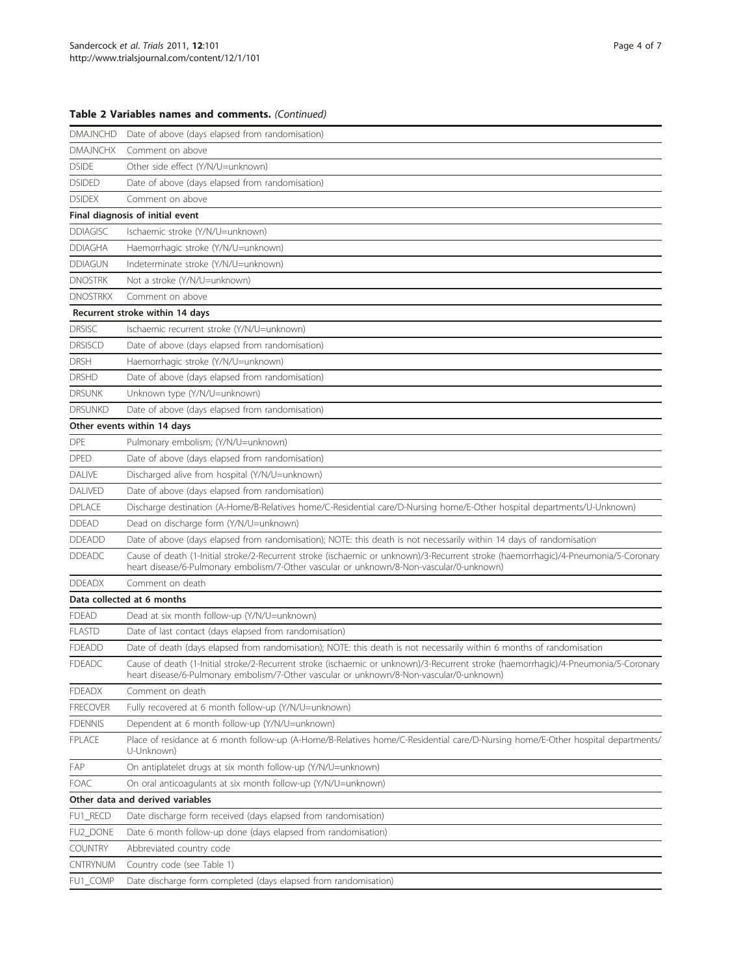# Table 2 Variables names and comments. (Continued)

| <b>DMAJNCHD</b> | Date of above (days elapsed from randomisation)                                                                                                                                                                                 |
|-----------------|---------------------------------------------------------------------------------------------------------------------------------------------------------------------------------------------------------------------------------|
| <b>DMAJNCHX</b> | Comment on above                                                                                                                                                                                                                |
| <b>DSIDE</b>    | Other side effect (Y/N/U=unknown)                                                                                                                                                                                               |
| <b>DSIDED</b>   | Date of above (days elapsed from randomisation)                                                                                                                                                                                 |
| <b>DSIDEX</b>   | Comment on above                                                                                                                                                                                                                |
|                 | Final diagnosis of initial event                                                                                                                                                                                                |
| <b>DDIAGISC</b> | Ischaemic stroke (Y/N/U=unknown)                                                                                                                                                                                                |
| <b>DDIAGHA</b>  | Haemorrhagic stroke (Y/N/U=unknown)                                                                                                                                                                                             |
| <b>DDIAGUN</b>  | Indeterminate stroke (Y/N/U=unknown)                                                                                                                                                                                            |
| <b>DNOSTRK</b>  | Not a stroke (Y/N/U=unknown)                                                                                                                                                                                                    |
| <b>DNOSTRKX</b> | Comment on above                                                                                                                                                                                                                |
|                 | Recurrent stroke within 14 days                                                                                                                                                                                                 |
| <b>DRSISC</b>   | Ischaemic recurrent stroke (Y/N/U=unknown)                                                                                                                                                                                      |
| <b>DRSISCD</b>  | Date of above (days elapsed from randomisation)                                                                                                                                                                                 |
| <b>DRSH</b>     | Haemorrhagic stroke (Y/N/U=unknown)                                                                                                                                                                                             |
| <b>DRSHD</b>    | Date of above (days elapsed from randomisation)                                                                                                                                                                                 |
| <b>DRSUNK</b>   | Unknown type (Y/N/U=unknown)                                                                                                                                                                                                    |
| <b>DRSUNKD</b>  | Date of above (days elapsed from randomisation)                                                                                                                                                                                 |
|                 | Other events within 14 days                                                                                                                                                                                                     |
| <b>DPE</b>      | Pulmonary embolism; (Y/N/U=unknown)                                                                                                                                                                                             |
| <b>DPED</b>     | Date of above (days elapsed from randomisation)                                                                                                                                                                                 |
| DALIVE          | Discharged alive from hospital (Y/N/U=unknown)                                                                                                                                                                                  |
| <b>DALIVED</b>  | Date of above (days elapsed from randomisation)                                                                                                                                                                                 |
| <b>DPLACE</b>   | Discharge destination (A-Home/B-Relatives home/C-Residential care/D-Nursing home/E-Other hospital departments/U-Unknown)                                                                                                        |
| <b>DDEAD</b>    | Dead on discharge form (Y/N/U=unknown)                                                                                                                                                                                          |
| <b>DDEADD</b>   | Date of above (days elapsed from randomisation); NOTE: this death is not necessarily within 14 days of randomisation                                                                                                            |
| <b>DDEADC</b>   | Cause of death (1-Initial stroke/2-Recurrent stroke (ischaemic or unknown)/3-Recurrent stroke (haemorrhagic)/4-Pneumonia/5-Coronary<br>heart disease/6-Pulmonary embolism/7-Other vascular or unknown/8-Non-vascular/0-unknown) |
| <b>DDEADX</b>   | Comment on death                                                                                                                                                                                                                |
|                 | Data collected at 6 months                                                                                                                                                                                                      |
| <b>FDEAD</b>    | Dead at six month follow-up (Y/N/U=unknown)                                                                                                                                                                                     |
| <b>FLASTD</b>   | Date of last contact (days elapsed from randomisation)                                                                                                                                                                          |
| <b>FDEADD</b>   | Date of death (days elapsed from randomisation); NOTE: this death is not necessarily within 6 months of randomisation                                                                                                           |
| <b>FDEADC</b>   | Cause of death (1-Initial stroke/2-Recurrent stroke (ischaemic or unknown)/3-Recurrent stroke (haemorrhagic)/4-Pneumonia/5-Coronary<br>heart disease/6-Pulmonary embolism/7-Other vascular or unknown/8-Non-vascular/0-unknown) |
| <b>FDEADX</b>   | Comment on death                                                                                                                                                                                                                |
| <b>FRECOVER</b> | Fully recovered at 6 month follow-up (Y/N/U=unknown)                                                                                                                                                                            |
| <b>FDENNIS</b>  | Dependent at 6 month follow-up (Y/N/U=unknown)                                                                                                                                                                                  |
| <b>FPLACE</b>   | Place of residance at 6 month follow-up (A-Home/B-Relatives home/C-Residential care/D-Nursing home/E-Other hospital departments/<br>U-Unknown)                                                                                  |
| FAP             | On antiplatelet drugs at six month follow-up (Y/N/U=unknown)                                                                                                                                                                    |
| <b>FOAC</b>     | On oral anticoagulants at six month follow-up (Y/N/U=unknown)                                                                                                                                                                   |
|                 | Other data and derived variables                                                                                                                                                                                                |
| FU1_RECD        | Date discharge form received (days elapsed from randomisation)                                                                                                                                                                  |
| FU2_DONE        | Date 6 month follow-up done (days elapsed from randomisation)                                                                                                                                                                   |
| <b>COUNTRY</b>  | Abbreviated country code                                                                                                                                                                                                        |
| CNTRYNUM        | Country code (see Table 1)                                                                                                                                                                                                      |
| FU1_COMP        | Date discharge form completed (days elapsed from randomisation)                                                                                                                                                                 |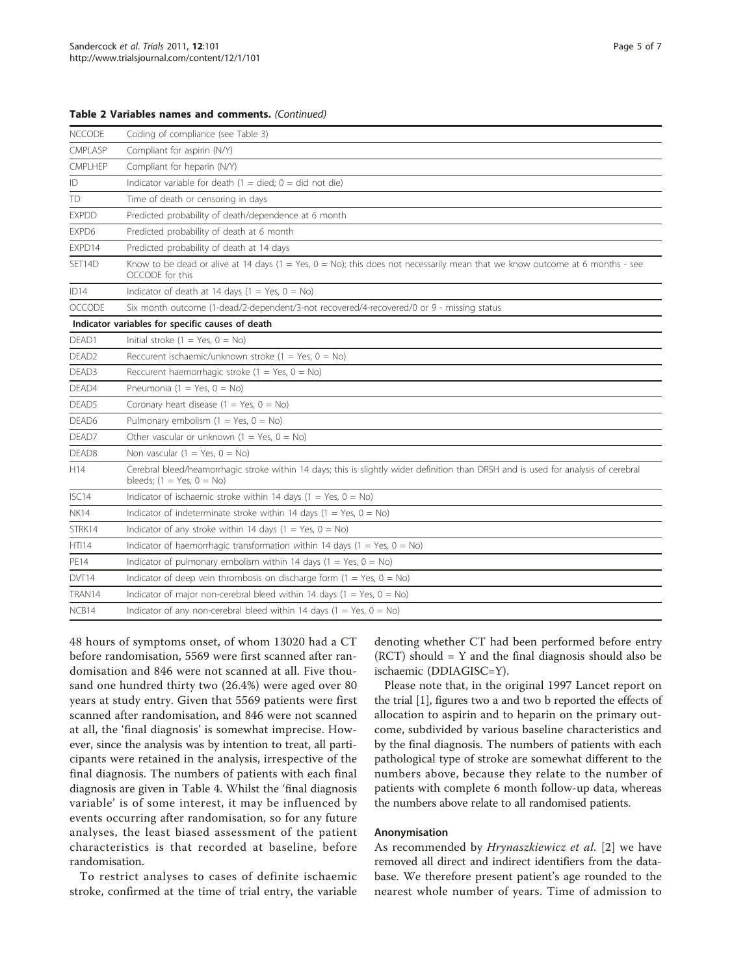|  |  |  |  |  | Table 2 Variables names and comments. (Continued) |  |
|--|--|--|--|--|---------------------------------------------------|--|
|--|--|--|--|--|---------------------------------------------------|--|

| <b>NCCODE</b>     | Coding of compliance (see Table 3)                                                                                                                                 |
|-------------------|--------------------------------------------------------------------------------------------------------------------------------------------------------------------|
| CMPLASP           | Compliant for aspirin (N/Y)                                                                                                                                        |
| CMPLHEP           | Compliant for heparin (N/Y)                                                                                                                                        |
| ID                | Indicator variable for death $(1 =$ died; $0 =$ did not die)                                                                                                       |
| TD                | Time of death or censoring in days                                                                                                                                 |
| <b>EXPDD</b>      | Predicted probability of death/dependence at 6 month                                                                                                               |
| EXPD6             | Predicted probability of death at 6 month                                                                                                                          |
| EXPD14            | Predicted probability of death at 14 days                                                                                                                          |
| SET14D            | Know to be dead or alive at 14 days (1 = Yes, 0 = No); this does not necessarily mean that we know outcome at 6 months - see<br>OCCODE for this                    |
| ID14              | Indicator of death at 14 days (1 = Yes, 0 = No)                                                                                                                    |
| <b>OCCODE</b>     | Six month outcome (1-dead/2-dependent/3-not recovered/4-recovered/0 or 9 - missing status                                                                          |
|                   | Indicator variables for specific causes of death                                                                                                                   |
| DEAD1             | Initial stroke $(1 = Yes, 0 = No)$                                                                                                                                 |
| DEAD <sub>2</sub> | Reccurent ischaemic/unknown stroke (1 = Yes, $0 = No$ )                                                                                                            |
| DEAD3             | Reccurent haemorrhagic stroke (1 = Yes, 0 = No)                                                                                                                    |
| DEAD4             | Pneumonia (1 = Yes, $0 = No$ )                                                                                                                                     |
| DEAD5             | Coronary heart disease $(1 = Yes, 0 = No)$                                                                                                                         |
| DEAD6             | Pulmonary embolism $(1 = Yes, 0 = No)$                                                                                                                             |
| DEAD7             | Other vascular or unknown $(1 = Yes, 0 = No)$                                                                                                                      |
| DEAD8             | Non vascular (1 = Yes, $0 = No$ )                                                                                                                                  |
| H14               | Cerebral bleed/heamorrhagic stroke within 14 days; this is slightly wider definition than DRSH and is used for analysis of cerebral<br>bleeds; $(1 = Yes, 0 = No)$ |
| ISC <sub>14</sub> | Indicator of ischaemic stroke within 14 days (1 = Yes, 0 = No)                                                                                                     |
| <b>NK14</b>       | Indicator of indeterminate stroke within 14 days (1 = Yes, $0 = No$ )                                                                                              |
| STRK14            | Indicator of any stroke within 14 days (1 = Yes, 0 = No)                                                                                                           |
| HTI14             | Indicator of haemorrhagic transformation within 14 days (1 = Yes, $0 = No$ )                                                                                       |
| <b>PE14</b>       | Indicator of pulmonary embolism within 14 days (1 = Yes, 0 = No)                                                                                                   |
| DVT14             | Indicator of deep vein thrombosis on discharge form $(1 = Yes, 0 = No)$                                                                                            |
| TRAN14            | Indicator of major non-cerebral bleed within 14 days (1 = Yes, $0 = No$ )                                                                                          |
| NCB14             | Indicator of any non-cerebral bleed within 14 days (1 = Yes, $0 = No$ )                                                                                            |

48 hours of symptoms onset, of whom 13020 had a CT before randomisation, 5569 were first scanned after randomisation and 846 were not scanned at all. Five thousand one hundred thirty two (26.4%) were aged over 80 years at study entry. Given that 5569 patients were first scanned after randomisation, and 846 were not scanned at all, the 'final diagnosis' is somewhat imprecise. However, since the analysis was by intention to treat, all participants were retained in the analysis, irrespective of the final diagnosis. The numbers of patients with each final diagnosis are given in Table [4.](#page-5-0) Whilst the 'final diagnosis variable' is of some interest, it may be influenced by events occurring after randomisation, so for any future analyses, the least biased assessment of the patient characteristics is that recorded at baseline, before randomisation.

To restrict analyses to cases of definite ischaemic stroke, confirmed at the time of trial entry, the variable denoting whether CT had been performed before entry  $(RCT)$  should = Y and the final diagnosis should also be ischaemic (DDIAGISC=Y).

Please note that, in the original 1997 Lancet report on the trial [[1](#page-6-0)], figures two a and two b reported the effects of allocation to aspirin and to heparin on the primary outcome, subdivided by various baseline characteristics and by the final diagnosis. The numbers of patients with each pathological type of stroke are somewhat different to the numbers above, because they relate to the number of patients with complete 6 month follow-up data, whereas the numbers above relate to all randomised patients.

#### Anonymisation

As recommended by Hrynaszkiewicz et al. [[2\]](#page-6-0) we have removed all direct and indirect identifiers from the database. We therefore present patient's age rounded to the nearest whole number of years. Time of admission to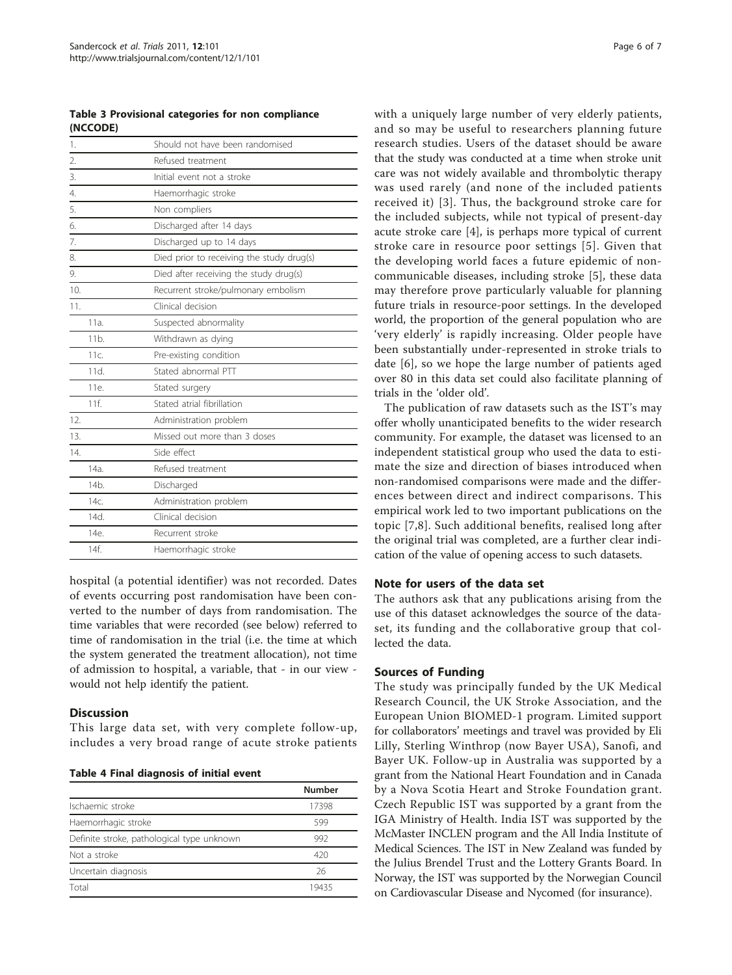<span id="page-5-0"></span>Table 3 Provisional categories for non compliance (NCCODE)

| 1.               | Should not have been randomised           |
|------------------|-------------------------------------------|
| $\overline{2}$ . | Refused treatment                         |
| 3.               | Initial event not a stroke                |
| 4.               | Haemorrhagic stroke                       |
| 5.               | Non compliers                             |
| 6.               | Discharged after 14 days                  |
| 7.               | Discharged up to 14 days                  |
| 8.               | Died prior to receiving the study drug(s) |
| 9.               | Died after receiving the study drug(s)    |
| 10.              | Recurrent stroke/pulmonary embolism       |
| 11.              | Clinical decision                         |
| $11a$ .          | Suspected abnormality                     |
| 11 <sub>b</sub>  | Withdrawn as dying                        |
| 11c.             | Pre-existing condition                    |
| 11d.             | Stated abnormal PTT                       |
| 11e.             | Stated surgery                            |
| $11f$ .          | Stated atrial fibrillation                |
| 12.              | Administration problem                    |
| 13.              | Missed out more than 3 doses              |
| 14.              | Side effect                               |
| 14a              | Refused treatment                         |
| 14 <sub>b</sub>  | Discharged                                |
| 14c              | Administration problem                    |
| 14d.             | Clinical decision                         |
| 14e.             | Recurrent stroke                          |
| 14f              | Haemorrhagic stroke                       |

hospital (a potential identifier) was not recorded. Dates of events occurring post randomisation have been converted to the number of days from randomisation. The time variables that were recorded (see below) referred to time of randomisation in the trial (i.e. the time at which the system generated the treatment allocation), not time of admission to hospital, a variable, that - in our view would not help identify the patient.

# **Discussion**

This large data set, with very complete follow-up, includes a very broad range of acute stroke patients

Table 4 Final diagnosis of initial event

|                                            | <b>Number</b> |
|--------------------------------------------|---------------|
| Ischaemic stroke                           | 17398         |
| Haemorrhagic stroke                        | 599           |
| Definite stroke, pathological type unknown | 992           |
| Not a stroke                               | 420           |
| Uncertain diagnosis                        | 26            |
| Total                                      | 19435         |

with a uniquely large number of very elderly patients, and so may be useful to researchers planning future research studies. Users of the dataset should be aware that the study was conducted at a time when stroke unit care was not widely available and thrombolytic therapy was used rarely (and none of the included patients received it) [[3\]](#page-6-0). Thus, the background stroke care for the included subjects, while not typical of present-day acute stroke care [\[4](#page-6-0)], is perhaps more typical of current stroke care in resource poor settings [[5](#page-6-0)]. Given that the developing world faces a future epidemic of noncommunicable diseases, including stroke [\[5](#page-6-0)], these data may therefore prove particularly valuable for planning future trials in resource-poor settings. In the developed world, the proportion of the general population who are 'very elderly' is rapidly increasing. Older people have been substantially under-represented in stroke trials to date [[6](#page-6-0)], so we hope the large number of patients aged over 80 in this data set could also facilitate planning of trials in the 'older old'.

The publication of raw datasets such as the IST's may offer wholly unanticipated benefits to the wider research community. For example, the dataset was licensed to an independent statistical group who used the data to estimate the size and direction of biases introduced when non-randomised comparisons were made and the differences between direct and indirect comparisons. This empirical work led to two important publications on the topic [[7,8](#page-6-0)]. Such additional benefits, realised long after the original trial was completed, are a further clear indication of the value of opening access to such datasets.

# Note for users of the data set

The authors ask that any publications arising from the use of this dataset acknowledges the source of the dataset, its funding and the collaborative group that collected the data.

# Sources of Funding

The study was principally funded by the UK Medical Research Council, the UK Stroke Association, and the European Union BIOMED-1 program. Limited support for collaborators' meetings and travel was provided by Eli Lilly, Sterling Winthrop (now Bayer USA), Sanofi, and Bayer UK. Follow-up in Australia was supported by a grant from the National Heart Foundation and in Canada by a Nova Scotia Heart and Stroke Foundation grant. Czech Republic IST was supported by a grant from the IGA Ministry of Health. India IST was supported by the McMaster INCLEN program and the All India Institute of Medical Sciences. The IST in New Zealand was funded by the Julius Brendel Trust and the Lottery Grants Board. In Norway, the IST was supported by the Norwegian Council on Cardiovascular Disease and Nycomed (for insurance).